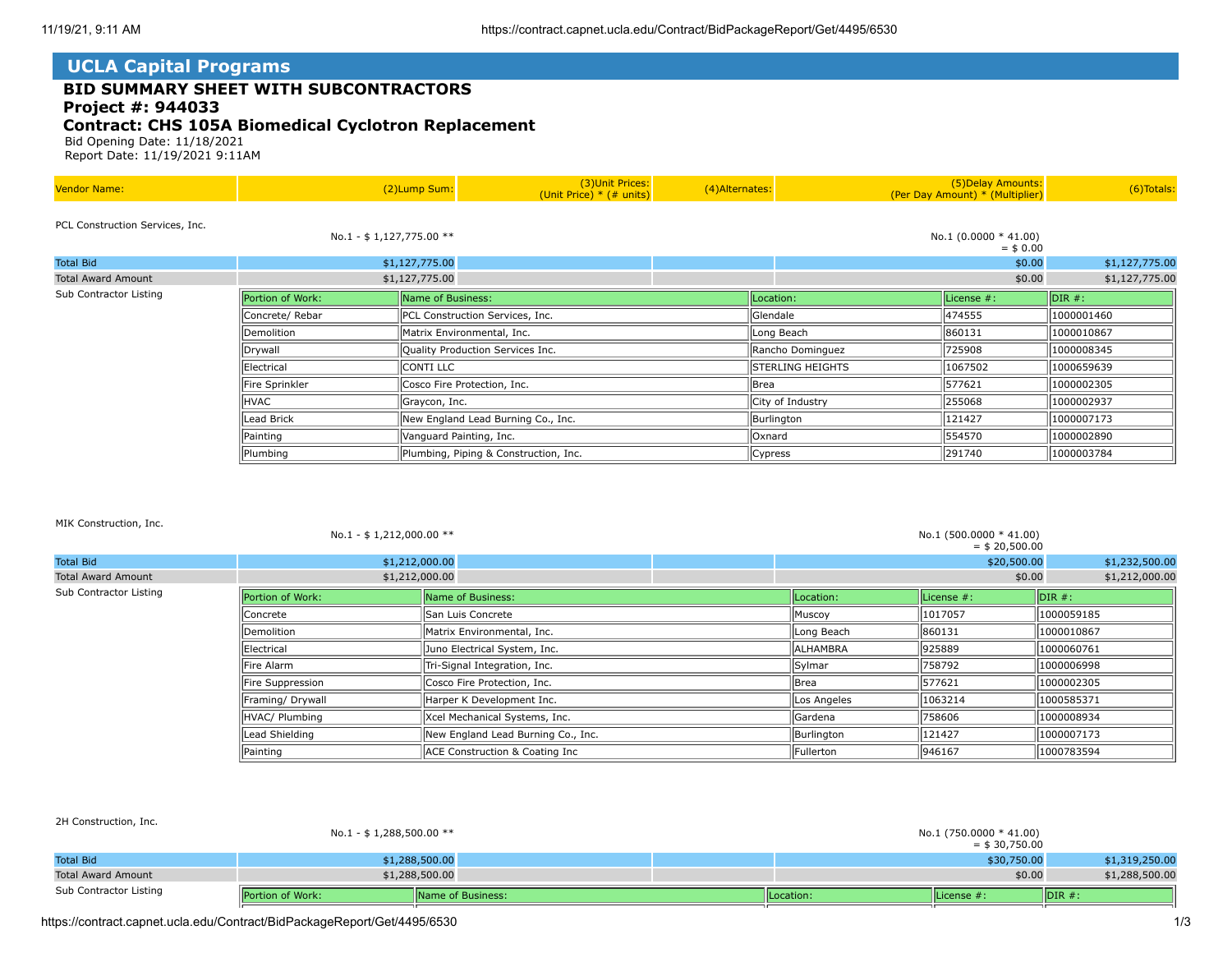## **UCLA Capital Programs**

# **BID SUMMARY SHEET WITH SUBCONTRACTORS**

 **Project #: 944033**

## **Contract: CHS 105A Biomedical Cyclotron Replacement**

Bid Opening Date: 11/18/2021

Report Date: 11/19/2021 9:11AM

| <b>Vendor Name:</b>             |                          | (2)Lump Sum:                     | (3) Unit Prices:<br>(Unit Price) $*$ (# units) | (4) Alternates: |                                    | (5) Delay Amounts:<br>(Per Day Amount) * (Multiplier) | (6) Totals:    |  |
|---------------------------------|--------------------------|----------------------------------|------------------------------------------------|-----------------|------------------------------------|-------------------------------------------------------|----------------|--|
| PCL Construction Services, Inc. | No.1 - \$1,127,775.00 ** |                                  |                                                |                 |                                    | No.1 $(0.0000 * 41.00)$<br>$=$ \$ 0.00                |                |  |
| <b>Total Bid</b>                |                          | \$1,127,775.00                   |                                                |                 |                                    | \$0.00                                                | \$1,127,775.00 |  |
| <b>Total Award Amount</b>       |                          | \$1,127,775.00                   |                                                |                 |                                    | \$0.00                                                |                |  |
| Sub Contractor Listing          | Portion of Work:         | Name of Business:                |                                                |                 | Location:                          | License #:                                            | $\vert$ DIR #: |  |
|                                 | Concrete/ Rebar          | PCL Construction Services, Inc.  |                                                |                 | 474555<br>Glendale                 |                                                       | 1000001460     |  |
|                                 | Demolition               | Matrix Environmental, Inc.       |                                                |                 | Long Beach                         | 860131                                                | 1000010867     |  |
|                                 | Drywall                  | Quality Production Services Inc. |                                                |                 | Rancho Dominguez                   | 725908                                                | 1000008345     |  |
|                                 | Electrical               | CONTI LLC                        |                                                |                 | 1067502<br><b>STERLING HEIGHTS</b> |                                                       | 1000659639     |  |
|                                 | Fire Sprinkler           | Cosco Fire Protection, Inc.      |                                                |                 | 577621<br>lBrea                    |                                                       | 1000002305     |  |
|                                 | <b>HVAC</b>              | Graycon, Inc.                    |                                                |                 | City of Industry<br>255068         |                                                       | 1000002937     |  |
|                                 | Lead Brick               |                                  | New England Lead Burning Co., Inc.             |                 | Burlington                         | 121427                                                | 1000007173     |  |
|                                 | Painting                 | Vanguard Painting, Inc.          |                                                |                 | Oxnard                             | 554570                                                | 1000002890     |  |
|                                 | Plumbing                 |                                  | Plumbing, Piping & Construction, Inc.          |                 | Cypress                            | 291740                                                | 1000003784     |  |

#### MIK Construction, Inc.

 $2H + 2H + 1$ 

| No.1 - $$1,212,000.00$ ** |                  |                                    | No.1 (500.0000 * 41.00)<br>$=$ \$ 20,500.00 |               |                               |  |
|---------------------------|------------------|------------------------------------|---------------------------------------------|---------------|-------------------------------|--|
| <b>Total Bid</b>          | \$1,212,000.00   |                                    |                                             | \$20,500.00   | \$1,232,500.00                |  |
| <b>Total Award Amount</b> | \$1,212,000.00   |                                    |                                             | \$0.00        | \$1,212,000.00                |  |
| Sub Contractor Listing    | Portion of Work: | Name of Business:                  | Location:                                   | License $#$ : | $\overline{\mathsf{IDIR}}$ #: |  |
|                           | Concrete         | San Luis Concrete                  | Muscoy                                      | 1017057       | 1000059185                    |  |
|                           | Demolition       | Matrix Environmental, Inc.         | Long Beach                                  | 860131        | 1000010867                    |  |
|                           | Electrical       | Juno Electrical System, Inc.       | <b>IALHAMBRA</b>                            | 925889        | 1000060761                    |  |
|                           | llFire Alarm     | Tri-Signal Integration, Inc.       | Sylmar                                      | 758792        | 1000006998                    |  |
|                           | Fire Suppression | Cosco Fire Protection, Inc.        | Brea                                        | 577621        | 1000002305                    |  |
|                           | Framing/ Drywall | Harper K Development Inc.          | Los Angeles                                 | 1063214       | 1000585371                    |  |
|                           | HVAC/ Plumbing   | Xcel Mechanical Systems, Inc.      | Gardena                                     | 758606        | 1000008934                    |  |
|                           | Lead Shielding   | New England Lead Burning Co., Inc. | Burlington                                  | 121427        | 1000007173                    |  |
|                           | Painting         | ACE Construction & Coating Inc     | Fullerton                                   | 946167        | 1000783594                    |  |

| Sub Contractor Listing    | <b>IPortion of Work:</b> | <b>IName of Business:</b> | Location:                                   | llLicense #: | $\mathsf{IDIR}$ #: |  |  |
|---------------------------|--------------------------|---------------------------|---------------------------------------------|--------------|--------------------|--|--|
| <b>Total Award Amount</b> |                          | \$1,288,500.00            |                                             | \$0.00       | \$1,288,500.00     |  |  |
| <b>Total Bid</b>          |                          | \$1,288,500.00            |                                             | \$30,750.00  | \$1,319,250.00     |  |  |
| ZH CONSTRUCTION, INC.     | No.1 - \$1,288,500.00 ** |                           | No.1 (750.0000 * 41.00)<br>$=$ \$ 30,750.00 |              |                    |  |  |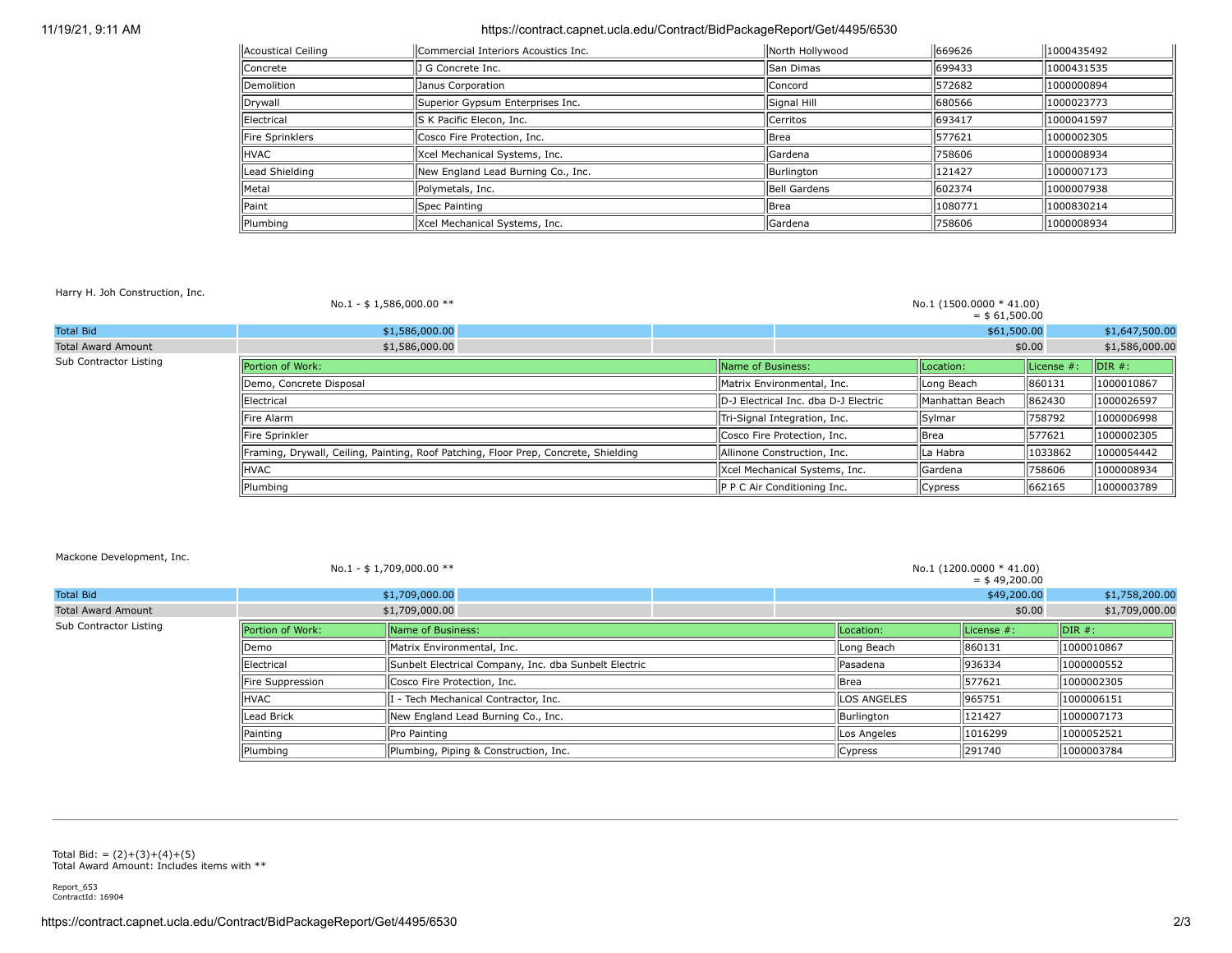### 11/19/21, 9:11 AM https://contract.capnet.ucla.edu/Contract/BidPackageReport/Get/4495/6530

| Acoustical Ceiling | Commercial Interiors Acoustics Inc. | North Hollywood | 669626  | 1000435492 |  |
|--------------------|-------------------------------------|-----------------|---------|------------|--|
| Concrete           | J G Concrete Inc.                   | llSan Dimas     | 1699433 | 1000431535 |  |
| <b>Demolition</b>  | Janus Corporation                   | lConcord        | 1572682 | 1000000894 |  |
| Drywall            | Superior Gypsum Enterprises Inc.    | Signal Hill     | 1680566 | 1000023773 |  |
| Electrical         | S K Pacific Elecon, Inc.            | <b>Cerritos</b> | 1693417 | 1000041597 |  |
| Fire Sprinklers    | Cosco Fire Protection, Inc.         | l Brea          | 577621  | 1000002305 |  |
| <b>HVAC</b>        | Xcel Mechanical Systems, Inc.       | llGardena       | 758606  | 1000008934 |  |
| Lead Shielding     | New England Lead Burning Co., Inc.  | Burlington      | 121427  | 1000007173 |  |
| Metal              | Polymetals, Inc.                    | Bell Gardens    | 1602374 | 1000007938 |  |
| <b>Paint</b>       | Spec Painting                       | <b>I</b> Brea   | 1080771 | 1000830214 |  |
| Plumbing           | Xcel Mechanical Systems, Inc.       | llGardena       | 1758606 | 1000008934 |  |

Harry H. Joh Construction, Inc.

|                           | No.1 - \$1,586,000.00 **                                                            |                   |                                      | No.1 (1500.0000 * 41.00)<br>$=$ \$61,500.00 |            |                    |
|---------------------------|-------------------------------------------------------------------------------------|-------------------|--------------------------------------|---------------------------------------------|------------|--------------------|
| <b>Total Bid</b>          | \$1,586,000.00                                                                      |                   |                                      | \$61,500.00                                 |            | \$1,647,500.00     |
| <b>Total Award Amount</b> | \$1,586,000.00                                                                      |                   |                                      |                                             | \$0.00     | \$1,586,000.00     |
| Sub Contractor Listing    | Portion of Work:                                                                    | Name of Business: |                                      | Location:                                   | License #: | $\mathsf{IDIR}$ #: |
|                           | Demo, Concrete Disposal                                                             |                   | IMatrix Environmental, Inc.          | Long Beach                                  | 860131     | 1000010867         |
|                           | Electrical                                                                          |                   | D-J Electrical Inc. dba D-J Electric | Manhattan Beach                             | 862430     | 1000026597         |
|                           | llFire Alarm                                                                        |                   | Tri-Signal Integration, Inc.         | Sylmar                                      | 758792     | 1000006998         |
|                           | Fire Sprinkler                                                                      |                   | Cosco Fire Protection, Inc.          | <b>I</b> Brea                               | 577621     | 1000002305         |
|                           | Framing, Drywall, Ceiling, Painting, Roof Patching, Floor Prep, Concrete, Shielding |                   | Allinone Construction, Inc.          | lLa Habra                                   | 1033862    | 1000054442         |
|                           | <b>HVAC</b>                                                                         |                   | Xcel Mechanical Systems, Inc.        | Gardena                                     | 758606     | 1000008934         |
|                           | Plumbing                                                                            |                   | P P C Air Conditioning Inc.          | Cypress                                     | 662165     | 1000003789         |

#### Mackone Development, Inc.

|                           |                  | No.1 - \$1,709,000.00 **                              |                    |               | No.1 (1200.0000 * 41.00)<br>$=$ \$49,200.00 |                |
|---------------------------|------------------|-------------------------------------------------------|--------------------|---------------|---------------------------------------------|----------------|
| <b>Total Bid</b>          |                  | \$1,709,000.00                                        |                    |               | \$49,200.00                                 | \$1,758,200.00 |
| <b>Total Award Amount</b> |                  | \$1,709,000.00                                        |                    |               | \$0.00                                      | \$1,709,000.00 |
| Sub Contractor Listing    | Portion of Work: | Name of Business:                                     | ILocation:         | License $#$ : | $IDIR#$ :                                   |                |
|                           | Demo             | Matrix Environmental, Inc.                            | Long Beach         | 860131        | 1000010867                                  |                |
|                           | Electrical       | Sunbelt Electrical Company, Inc. dba Sunbelt Electric | llPasadena         | 936334        | 1000000552                                  |                |
|                           | Fire Suppression | Cosco Fire Protection, Inc.                           | <b>IBrea</b>       | 577621        | 1000002305                                  |                |
|                           | <b>HVAC</b>      | - Tech Mechanical Contractor, Inc.                    | <b>LOS ANGELES</b> | 965751        | 1000006151                                  |                |
|                           | Lead Brick       | New England Lead Burning Co., Inc.                    |                    | Burlington    | 121427                                      | 1000007173     |
|                           | Painting         | Pro Painting                                          |                    | Los Angeles   | 1016299                                     | 1000052521     |
|                           | Plumbing         | Plumbing, Piping & Construction, Inc.                 |                    | Cypress       | 291740                                      | 1000003784     |

Total Bid: = (2)+(3)+(4)+(5) Total Award Amount: Includes items with \*\*

Report\_653 ContractId: 16904